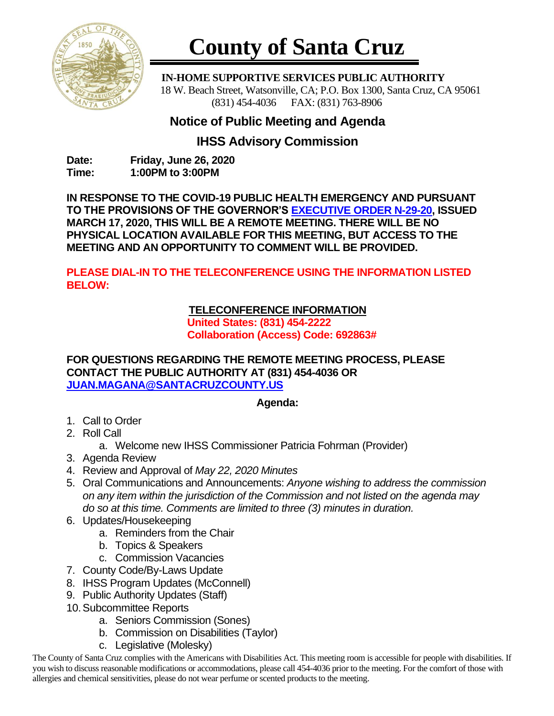

# **County of Santa Cruz**

 **IN-HOME SUPPORTIVE SERVICES PUBLIC AUTHORITY** 18 W. Beach Street, Watsonville, CA; P.O. Box 1300, Santa Cruz, CA 95061 (831) 454-4036 FAX: (831) 763-8906

## **Notice of Public Meeting and Agenda**

## **IHSS Advisory Commission**

**Date: Friday, June 26, 2020 Time: 1:00PM to 3:00PM**

**IN RESPONSE TO THE COVID-19 PUBLIC HEALTH EMERGENCY AND PURSUANT TO THE PROVISIONS OF THE GOVERNOR'S [EXECUTIVE ORDER N-29-20,](https://www.gov.ca.gov/wp-content/uploads/2020/03/3.17.20-N-29-20-EO.pdf) ISSUED MARCH 17, 2020, THIS WILL BE A REMOTE MEETING. THERE WILL BE NO PHYSICAL LOCATION AVAILABLE FOR THIS MEETING, BUT ACCESS TO THE MEETING AND AN OPPORTUNITY TO COMMENT WILL BE PROVIDED.**

**PLEASE DIAL-IN TO THE TELECONFERENCE USING THE INFORMATION LISTED BELOW:**

### **TELECONFERENCE INFORMATION**

**United States: (831) 454-2222 Collaboration (Access) Code: 692863#**

**FOR QUESTIONS REGARDING THE REMOTE MEETING PROCESS, PLEASE CONTACT THE PUBLIC AUTHORITY AT (831) 454-4036 OR [JUAN.MAGANA@SANTACRUZCOUNTY.US](mailto:JUAN.MAGANA@SANTACRUZCOUNTY.US)**

#### **Agenda:**

- 1. Call to Order
- 2. Roll Call
	- a. Welcome new IHSS Commissioner Patricia Fohrman (Provider)
- 3. Agenda Review
- 4. Review and Approval of *May 22, 2020 Minutes*
- 5. Oral Communications and Announcements: *Anyone wishing to address the commission on any item within the jurisdiction of the Commission and not listed on the agenda may do so at this time. Comments are limited to three (3) minutes in duration.*
- 6. Updates/Housekeeping
	- a. Reminders from the Chair
		- b. Topics & Speakers
		- c. Commission Vacancies
- 7. County Code/By-Laws Update
- 8. IHSS Program Updates (McConnell)
- 9. Public Authority Updates (Staff)
- 10.Subcommittee Reports
	- a. Seniors Commission (Sones)
	- b. Commission on Disabilities (Taylor)
	- c. Legislative (Molesky)

The County of Santa Cruz complies with the Americans with Disabilities Act. This meeting room is accessible for people with disabilities. If you wish to discuss reasonable modifications or accommodations, please call 454-4036 prior to the meeting. For the comfort of those with allergies and chemical sensitivities, please do not wear perfume or scented products to the meeting.